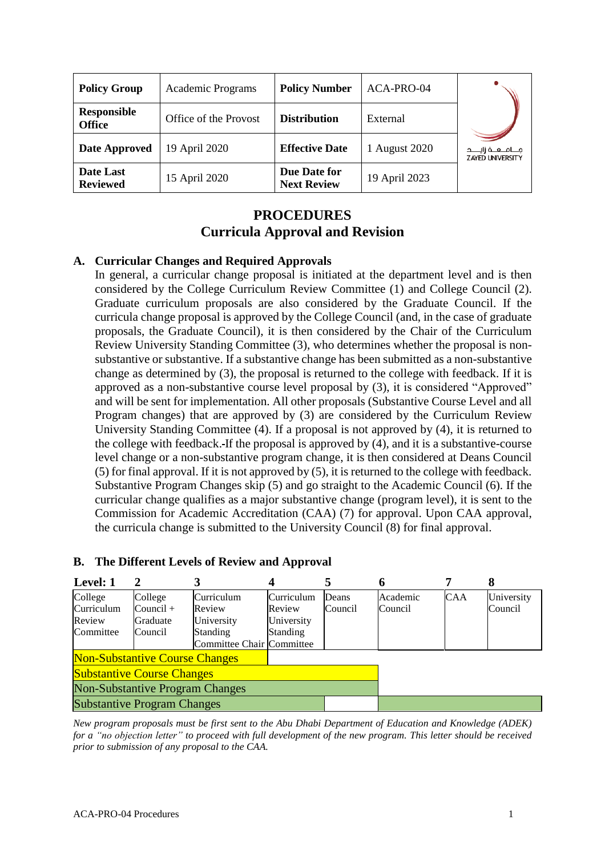| <b>Policy Group</b>                 | Academic Programs     | <b>Policy Number</b>               | ACA-PRO-04    |                                                 |
|-------------------------------------|-----------------------|------------------------------------|---------------|-------------------------------------------------|
| <b>Responsible</b><br><b>Office</b> | Office of the Provost | <b>Distribution</b>                | External      |                                                 |
| <b>Date Approved</b>                | 19 April 2020         | <b>Effective Date</b>              | 1 August 2020 | فـــافــفـة زايــــد<br><b>ZAYED UNIVERSITY</b> |
| Date Last<br><b>Reviewed</b>        | 15 April 2020         | Due Date for<br><b>Next Review</b> | 19 April 2023 |                                                 |

# **PROCEDURES Curricula Approval and Revision**

# **A. Curricular Changes and Required Approvals**

In general, a curricular change proposal is initiated at the department level and is then considered by the College Curriculum Review Committee (1) and College Council (2). Graduate curriculum proposals are also considered by the Graduate Council. If the curricula change proposal is approved by the College Council (and, in the case of graduate proposals, the Graduate Council), it is then considered by the Chair of the Curriculum Review University Standing Committee (3), who determines whether the proposal is nonsubstantive or substantive. If a substantive change has been submitted as a non-substantive change as determined by (3), the proposal is returned to the college with feedback. If it is approved as a non-substantive course level proposal by (3), it is considered "Approved" and will be sent for implementation. All other proposals (Substantive Course Level and all Program changes) that are approved by (3) are considered by the Curriculum Review University Standing Committee (4). If a proposal is not approved by (4), it is returned to the college with feedback. If the proposal is approved by (4), and it is a substantive-course level change or a non-substantive program change, it is then considered at Deans Council (5) for final approval. If it is not approved by (5), it is returned to the college with feedback. Substantive Program Changes skip (5) and go straight to the Academic Council (6). If the curricular change qualifies as a major substantive change (program level), it is sent to the Commission for Academic Accreditation (CAA) (7) for approval. Upon CAA approval, the curricula change is submitted to the University Council (8) for final approval.

| Level: 1                               | 2                                |                                              |                                    | 5                | o                   |            | 8                     |
|----------------------------------------|----------------------------------|----------------------------------------------|------------------------------------|------------------|---------------------|------------|-----------------------|
| College<br>Curriculum<br>Review        | College<br>$Count +$<br>Graduate | Curriculum<br>Review<br>University           | Curriculum<br>Review<br>University | Deans<br>Council | Academic<br>Council | <b>CAA</b> | University<br>Council |
| Committee                              | Council                          | <b>Standing</b><br>Committee Chair Committee | <b>Standing</b>                    |                  |                     |            |                       |
| <b>Non-Substantive Course Changes</b>  |                                  |                                              |                                    |                  |                     |            |                       |
| <b>Substantive Course Changes</b>      |                                  |                                              |                                    |                  |                     |            |                       |
| <b>Non-Substantive Program Changes</b> |                                  |                                              |                                    |                  |                     |            |                       |
| <b>Substantive Program Changes</b>     |                                  |                                              |                                    |                  |                     |            |                       |

#### **B. The Different Levels of Review and Approval**

*New program proposals must be first sent to the Abu Dhabi Department of Education and Knowledge (ADEK) for a "no objection letter" to proceed with full development of the new program. This letter should be received prior to submission of any proposal to the CAA.*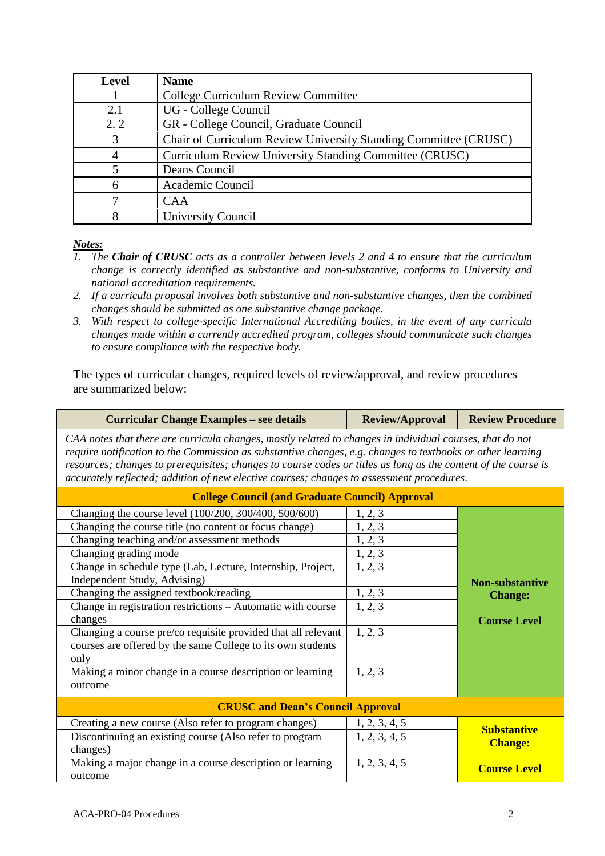| <b>Level</b> | <b>Name</b>                                                      |
|--------------|------------------------------------------------------------------|
|              | College Curriculum Review Committee                              |
| 2.1          | UG - College Council                                             |
| 2.2          | GR - College Council, Graduate Council                           |
| 3            | Chair of Curriculum Review University Standing Committee (CRUSC) |
| 4            | Curriculum Review University Standing Committee (CRUSC)          |
|              | Deans Council                                                    |
|              | Academic Council                                                 |
|              | <b>CAA</b>                                                       |
|              | <b>University Council</b>                                        |

#### *Notes:*

- *1. The Chair of CRUSC acts as a controller between levels 2 and 4 to ensure that the curriculum change is correctly identified as substantive and non-substantive, conforms to University and national accreditation requirements.*
- *2. If a curricula proposal involves both substantive and non-substantive changes, then the combined changes should be submitted as one substantive change package.*
- *3. With respect to college-specific International Accrediting bodies, in the event of any curricula changes made within a currently accredited program, colleges should communicate such changes to ensure compliance with the respective body.*

The types of curricular changes, required levels of review/approval, and review procedures are summarized below:

| <b>Curricular Change Examples – see details</b>                                                                                                                                                                                                                                                                                                                                                                                       | <b>Review/Approval</b>                | <b>Review Procedure</b>                  |  |  |
|---------------------------------------------------------------------------------------------------------------------------------------------------------------------------------------------------------------------------------------------------------------------------------------------------------------------------------------------------------------------------------------------------------------------------------------|---------------------------------------|------------------------------------------|--|--|
| CAA notes that there are curricula changes, mostly related to changes in individual courses, that do not<br>require notification to the Commission as substantive changes, e.g. changes to textbooks or other learning<br>resources; changes to prerequisites; changes to course codes or titles as long as the content of the course is<br>accurately reflected; addition of new elective courses; changes to assessment procedures. |                                       |                                          |  |  |
| <b>College Council (and Graduate Council) Approval</b>                                                                                                                                                                                                                                                                                                                                                                                |                                       |                                          |  |  |
| Changing the course level (100/200, 300/400, 500/600)                                                                                                                                                                                                                                                                                                                                                                                 | 1, 2, 3                               |                                          |  |  |
| Changing the course title (no content or focus change)                                                                                                                                                                                                                                                                                                                                                                                | 1, 2, 3                               |                                          |  |  |
| Changing teaching and/or assessment methods                                                                                                                                                                                                                                                                                                                                                                                           | 1, 2, 3                               |                                          |  |  |
| Changing grading mode                                                                                                                                                                                                                                                                                                                                                                                                                 | 1, 2, 3                               | <b>Non-substantive</b><br><b>Change:</b> |  |  |
| Change in schedule type (Lab, Lecture, Internship, Project,                                                                                                                                                                                                                                                                                                                                                                           | 1, 2, 3                               |                                          |  |  |
| Independent Study, Advising)                                                                                                                                                                                                                                                                                                                                                                                                          |                                       |                                          |  |  |
| Changing the assigned textbook/reading                                                                                                                                                                                                                                                                                                                                                                                                | 1, 2, 3                               |                                          |  |  |
| Change in registration restrictions - Automatic with course                                                                                                                                                                                                                                                                                                                                                                           | 1, 2, 3                               |                                          |  |  |
| changes                                                                                                                                                                                                                                                                                                                                                                                                                               |                                       | <b>Course Level</b>                      |  |  |
| Changing a course pre/co requisite provided that all relevant                                                                                                                                                                                                                                                                                                                                                                         | 1, 2, 3                               |                                          |  |  |
| courses are offered by the same College to its own students                                                                                                                                                                                                                                                                                                                                                                           |                                       |                                          |  |  |
| only                                                                                                                                                                                                                                                                                                                                                                                                                                  |                                       |                                          |  |  |
| Making a minor change in a course description or learning                                                                                                                                                                                                                                                                                                                                                                             | 1, 2, 3                               |                                          |  |  |
| outcome                                                                                                                                                                                                                                                                                                                                                                                                                               |                                       |                                          |  |  |
| <b>CRUSC and Dean's Council Approval</b>                                                                                                                                                                                                                                                                                                                                                                                              |                                       |                                          |  |  |
| Creating a new course (Also refer to program changes)                                                                                                                                                                                                                                                                                                                                                                                 |                                       |                                          |  |  |
| Discontinuing an existing course (Also refer to program                                                                                                                                                                                                                                                                                                                                                                               | $\frac{1, 2, 3, 4, 5}{1, 2, 3, 4, 5}$ | <b>Substantive</b>                       |  |  |
| changes)                                                                                                                                                                                                                                                                                                                                                                                                                              |                                       | <b>Change:</b>                           |  |  |
| Making a major change in a course description or learning                                                                                                                                                                                                                                                                                                                                                                             | 1, 2, 3, 4, 5                         | <b>Course Level</b>                      |  |  |
| outcome                                                                                                                                                                                                                                                                                                                                                                                                                               |                                       |                                          |  |  |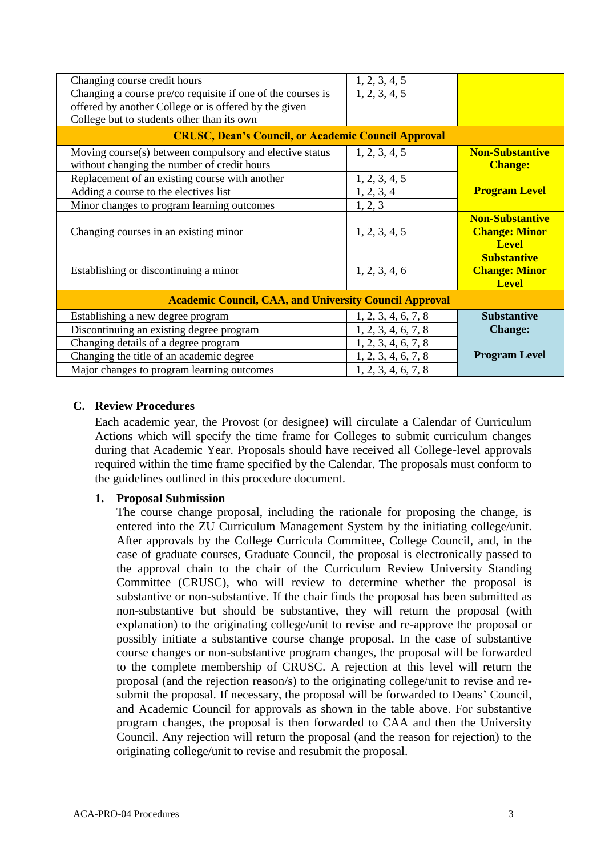| Changing course credit hours                                  | 1, 2, 3, 4, 5       |                        |  |  |
|---------------------------------------------------------------|---------------------|------------------------|--|--|
| Changing a course pre/co requisite if one of the courses is   | 1, 2, 3, 4, 5       |                        |  |  |
| offered by another College or is offered by the given         |                     |                        |  |  |
| College but to students other than its own                    |                     |                        |  |  |
| <b>CRUSC, Dean's Council, or Academic Council Approval</b>    |                     |                        |  |  |
| Moving course(s) between compulsory and elective status       | 1, 2, 3, 4, 5       | <b>Non-Substantive</b> |  |  |
| without changing the number of credit hours                   |                     | <b>Change:</b>         |  |  |
| Replacement of an existing course with another                | 1, 2, 3, 4, 5       |                        |  |  |
| Adding a course to the electives list                         | 1, 2, 3, 4          | <b>Program Level</b>   |  |  |
| Minor changes to program learning outcomes                    | 1, 2, 3             |                        |  |  |
|                                                               |                     | <b>Non-Substantive</b> |  |  |
| Changing courses in an existing minor                         | 1, 2, 3, 4, 5       | <b>Change: Minor</b>   |  |  |
|                                                               |                     | <b>Level</b>           |  |  |
|                                                               |                     | <b>Substantive</b>     |  |  |
| Establishing or discontinuing a minor                         | 1, 2, 3, 4, 6       | <b>Change: Minor</b>   |  |  |
|                                                               |                     | <b>Level</b>           |  |  |
| <b>Academic Council, CAA, and University Council Approval</b> |                     |                        |  |  |
| Establishing a new degree program                             | 1, 2, 3, 4, 6, 7, 8 | <b>Substantive</b>     |  |  |
| Discontinuing an existing degree program                      | 1, 2, 3, 4, 6, 7, 8 | <b>Change:</b>         |  |  |
| Changing details of a degree program                          | 1, 2, 3, 4, 6, 7, 8 |                        |  |  |
| Changing the title of an academic degree                      | 1, 2, 3, 4, 6, 7, 8 | <b>Program Level</b>   |  |  |
| Major changes to program learning outcomes                    | 1, 2, 3, 4, 6, 7, 8 |                        |  |  |

#### **C. Review Procedures**

Each academic year, the Provost (or designee) will circulate a Calendar of Curriculum Actions which will specify the time frame for Colleges to submit curriculum changes during that Academic Year. Proposals should have received all College-level approvals required within the time frame specified by the Calendar. The proposals must conform to the guidelines outlined in this procedure document.

#### **1. Proposal Submission**

The course change proposal, including the rationale for proposing the change, is entered into the ZU Curriculum Management System by the initiating college/unit. After approvals by the College Curricula Committee, College Council, and, in the case of graduate courses, Graduate Council, the proposal is electronically passed to the approval chain to the chair of the Curriculum Review University Standing Committee (CRUSC), who will review to determine whether the proposal is substantive or non-substantive. If the chair finds the proposal has been submitted as non-substantive but should be substantive, they will return the proposal (with explanation) to the originating college/unit to revise and re-approve the proposal or possibly initiate a substantive course change proposal. In the case of substantive course changes or non-substantive program changes, the proposal will be forwarded to the complete membership of CRUSC. A rejection at this level will return the proposal (and the rejection reason/s) to the originating college/unit to revise and resubmit the proposal. If necessary, the proposal will be forwarded to Deans' Council, and Academic Council for approvals as shown in the table above. For substantive program changes, the proposal is then forwarded to CAA and then the University Council. Any rejection will return the proposal (and the reason for rejection) to the originating college/unit to revise and resubmit the proposal.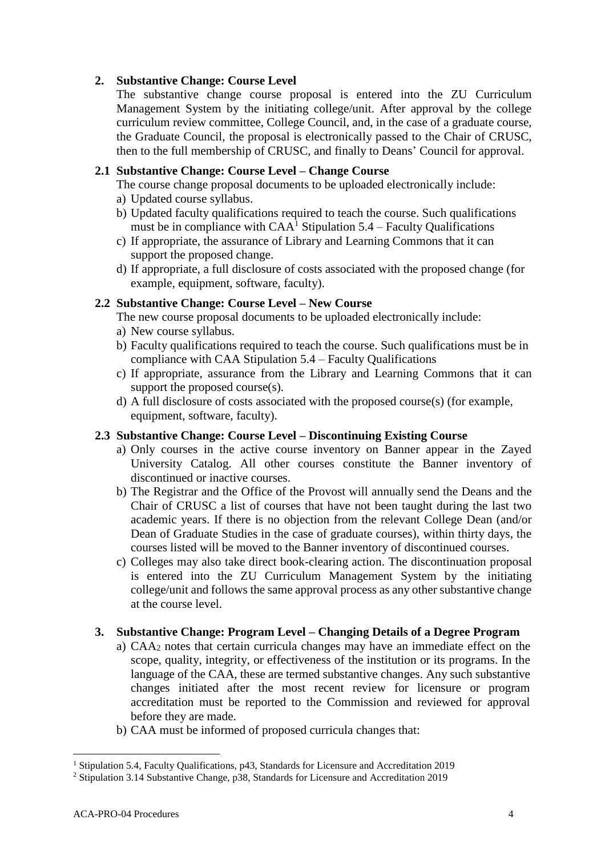# **2. Substantive Change: Course Level**

The substantive change course proposal is entered into the ZU Curriculum Management System by the initiating college/unit. After approval by the college curriculum review committee, College Council, and, in the case of a graduate course, the Graduate Council, the proposal is electronically passed to the Chair of CRUSC, then to the full membership of CRUSC, and finally to Deans' Council for approval.

# **2.1 Substantive Change: Course Level – Change Course**

The course change proposal documents to be uploaded electronically include:

- a) Updated course syllabus.
- b) Updated faculty qualifications required to teach the course. Such qualifications must be in compliance with  $CAA<sup>1</sup>$  Stipulation 5.4 – Faculty Qualifications
- c) If appropriate, the assurance of Library and Learning Commons that it can support the proposed change.
- d) If appropriate, a full disclosure of costs associated with the proposed change (for example, equipment, software, faculty).

# **2.2 Substantive Change: Course Level – New Course**

The new course proposal documents to be uploaded electronically include:

- a) New course syllabus.
- b) Faculty qualifications required to teach the course. Such qualifications must be in compliance with CAA Stipulation 5.4 – Faculty Qualifications
- c) If appropriate, assurance from the Library and Learning Commons that it can support the proposed course(s).
- d) A full disclosure of costs associated with the proposed course(s) (for example, equipment, software, faculty).

# **2.3 Substantive Change: Course Level – Discontinuing Existing Course**

- a) Only courses in the active course inventory on Banner appear in the Zayed University Catalog. All other courses constitute the Banner inventory of discontinued or inactive courses.
- b) The Registrar and the Office of the Provost will annually send the Deans and the Chair of CRUSC a list of courses that have not been taught during the last two academic years. If there is no objection from the relevant College Dean (and/or Dean of Graduate Studies in the case of graduate courses), within thirty days, the courses listed will be moved to the Banner inventory of discontinued courses.
- c) Colleges may also take direct book-clearing action. The discontinuation proposal is entered into the ZU Curriculum Management System by the initiating college/unit and follows the same approval process as any other substantive change at the course level.

# **3. Substantive Change: Program Level – Changing Details of a Degree Program**

- a) CAA<sup>2</sup> notes that certain curricula changes may have an immediate effect on the scope, quality, integrity, or effectiveness of the institution or its programs. In the language of the CAA, these are termed substantive changes. Any such substantive changes initiated after the most recent review for licensure or program accreditation must be reported to the Commission and reviewed for approval before they are made.
- b) CAA must be informed of proposed curricula changes that:

 $\overline{a}$ 

<sup>&</sup>lt;sup>1</sup> Stipulation 5.4, Faculty Qualifications, p43, Standards for Licensure and Accreditation 2019

<sup>&</sup>lt;sup>2</sup> Stipulation 3.14 Substantive Change, p38, Standards for Licensure and Accreditation 2019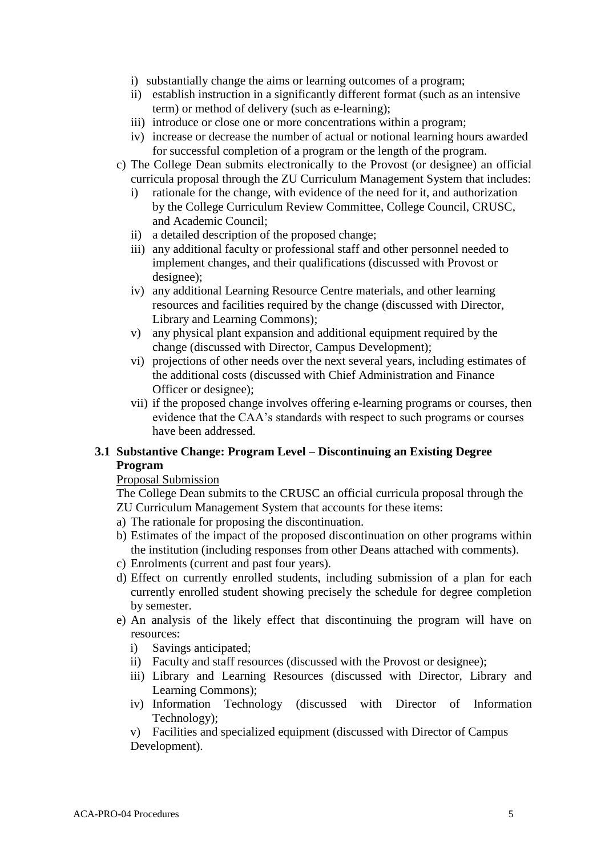- i) substantially change the aims or learning outcomes of a program;
- ii) establish instruction in a significantly different format (such as an intensive term) or method of delivery (such as e-learning);
- iii) introduce or close one or more concentrations within a program;
- iv) increase or decrease the number of actual or notional learning hours awarded for successful completion of a program or the length of the program.
- c) The College Dean submits electronically to the Provost (or designee) an official curricula proposal through the ZU Curriculum Management System that includes:
	- i) rationale for the change, with evidence of the need for it, and authorization by the College Curriculum Review Committee, College Council, CRUSC, and Academic Council;
	- ii) a detailed description of the proposed change;
	- iii) any additional faculty or professional staff and other personnel needed to implement changes, and their qualifications (discussed with Provost or designee);
	- iv) any additional Learning Resource Centre materials, and other learning resources and facilities required by the change (discussed with Director, Library and Learning Commons);
	- v) any physical plant expansion and additional equipment required by the change (discussed with Director, Campus Development);
	- vi) projections of other needs over the next several years, including estimates of the additional costs (discussed with Chief Administration and Finance Officer or designee);
	- vii) if the proposed change involves offering e-learning programs or courses, then evidence that the CAA's standards with respect to such programs or courses have been addressed.

# **3.1 Substantive Change: Program Level – Discontinuing an Existing Degree Program**

#### Proposal Submission

The College Dean submits to the CRUSC an official curricula proposal through the ZU Curriculum Management System that accounts for these items:

- a) The rationale for proposing the discontinuation.
- b) Estimates of the impact of the proposed discontinuation on other programs within the institution (including responses from other Deans attached with comments).
- c) Enrolments (current and past four years).
- d) Effect on currently enrolled students, including submission of a plan for each currently enrolled student showing precisely the schedule for degree completion by semester.
- e) An analysis of the likely effect that discontinuing the program will have on resources:
	- i) Savings anticipated;
	- ii) Faculty and staff resources (discussed with the Provost or designee);
	- iii) Library and Learning Resources (discussed with Director, Library and Learning Commons);
	- iv) Information Technology (discussed with Director of Information Technology);

v) Facilities and specialized equipment (discussed with Director of Campus Development).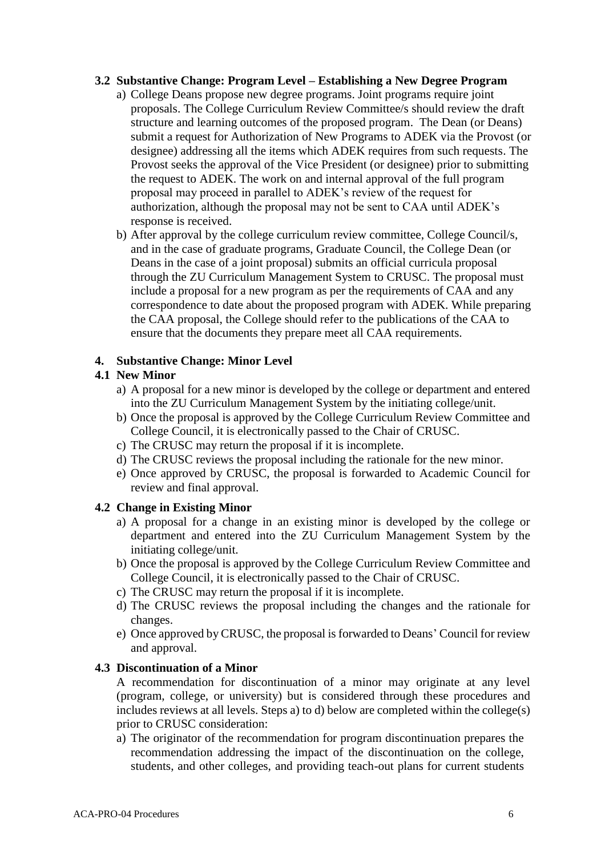#### **3.2 Substantive Change: Program Level – Establishing a New Degree Program**

- a) College Deans propose new degree programs. Joint programs require joint proposals. The College Curriculum Review Committee/s should review the draft structure and learning outcomes of the proposed program. The Dean (or Deans) submit a request for Authorization of New Programs to ADEK via the Provost (or designee) addressing all the items which ADEK requires from such requests. The Provost seeks the approval of the Vice President (or designee) prior to submitting the request to ADEK. The work on and internal approval of the full program proposal may proceed in parallel to ADEK's review of the request for authorization, although the proposal may not be sent to CAA until ADEK's response is received.
- b) After approval by the college curriculum review committee, College Council/s, and in the case of graduate programs, Graduate Council, the College Dean (or Deans in the case of a joint proposal) submits an official curricula proposal through the ZU Curriculum Management System to CRUSC. The proposal must include a proposal for a new program as per the requirements of CAA and any correspondence to date about the proposed program with ADEK. While preparing the CAA proposal, the College should refer to the publications of the CAA to ensure that the documents they prepare meet all CAA requirements.

#### **4. Substantive Change: Minor Level**

# **4.1 New Minor**

- a) A proposal for a new minor is developed by the college or department and entered into the ZU Curriculum Management System by the initiating college/unit.
- b) Once the proposal is approved by the College Curriculum Review Committee and College Council, it is electronically passed to the Chair of CRUSC.
- c) The CRUSC may return the proposal if it is incomplete.
- d) The CRUSC reviews the proposal including the rationale for the new minor.
- e) Once approved by CRUSC, the proposal is forwarded to Academic Council for review and final approval.

# **4.2 Change in Existing Minor**

- a) A proposal for a change in an existing minor is developed by the college or department and entered into the ZU Curriculum Management System by the initiating college/unit.
- b) Once the proposal is approved by the College Curriculum Review Committee and College Council, it is electronically passed to the Chair of CRUSC.
- c) The CRUSC may return the proposal if it is incomplete.
- d) The CRUSC reviews the proposal including the changes and the rationale for changes.
- e) Once approved by CRUSC, the proposal is forwarded to Deans' Council for review and approval.

#### **4.3 Discontinuation of a Minor**

A recommendation for discontinuation of a minor may originate at any level (program, college, or university) but is considered through these procedures and includes reviews at all levels. Steps a) to d) below are completed within the college(s) prior to CRUSC consideration:

a) The originator of the recommendation for program discontinuation prepares the recommendation addressing the impact of the discontinuation on the college, students, and other colleges, and providing teach-out plans for current students